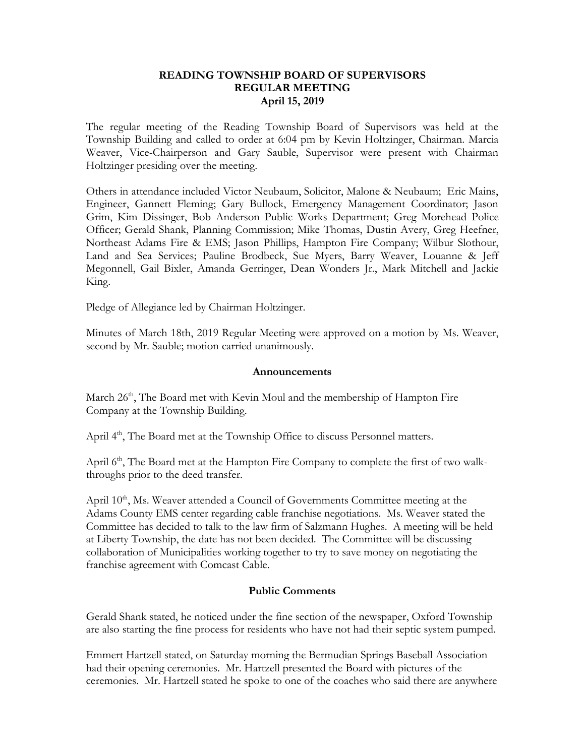### **READING TOWNSHIP BOARD OF SUPERVISORS REGULAR MEETING April 15, 2019**

The regular meeting of the Reading Township Board of Supervisors was held at the Township Building and called to order at 6:04 pm by Kevin Holtzinger, Chairman. Marcia Weaver, Vice-Chairperson and Gary Sauble, Supervisor were present with Chairman Holtzinger presiding over the meeting.

Others in attendance included Victor Neubaum, Solicitor, Malone & Neubaum; Eric Mains, Engineer, Gannett Fleming; Gary Bullock, Emergency Management Coordinator; Jason Grim, Kim Dissinger, Bob Anderson Public Works Department; Greg Morehead Police Officer; Gerald Shank, Planning Commission; Mike Thomas, Dustin Avery, Greg Heefner, Northeast Adams Fire & EMS; Jason Phillips, Hampton Fire Company; Wilbur Slothour, Land and Sea Services; Pauline Brodbeck, Sue Myers, Barry Weaver, Louanne & Jeff Megonnell, Gail Bixler, Amanda Gerringer, Dean Wonders Jr., Mark Mitchell and Jackie King.

Pledge of Allegiance led by Chairman Holtzinger.

Minutes of March 18th, 2019 Regular Meeting were approved on a motion by Ms. Weaver, second by Mr. Sauble; motion carried unanimously.

#### **Announcements**

March 26<sup>th</sup>, The Board met with Kevin Moul and the membership of Hampton Fire Company at the Township Building.

April 4<sup>th</sup>, The Board met at the Township Office to discuss Personnel matters.

April  $6<sup>th</sup>$ , The Board met at the Hampton Fire Company to complete the first of two walkthroughs prior to the deed transfer.

April 10<sup>th</sup>, Ms. Weaver attended a Council of Governments Committee meeting at the Adams County EMS center regarding cable franchise negotiations. Ms. Weaver stated the Committee has decided to talk to the law firm of Salzmann Hughes. A meeting will be held at Liberty Township, the date has not been decided. The Committee will be discussing collaboration of Municipalities working together to try to save money on negotiating the franchise agreement with Comcast Cable.

## **Public Comments**

Gerald Shank stated, he noticed under the fine section of the newspaper, Oxford Township are also starting the fine process for residents who have not had their septic system pumped.

Emmert Hartzell stated, on Saturday morning the Bermudian Springs Baseball Association had their opening ceremonies. Mr. Hartzell presented the Board with pictures of the ceremonies. Mr. Hartzell stated he spoke to one of the coaches who said there are anywhere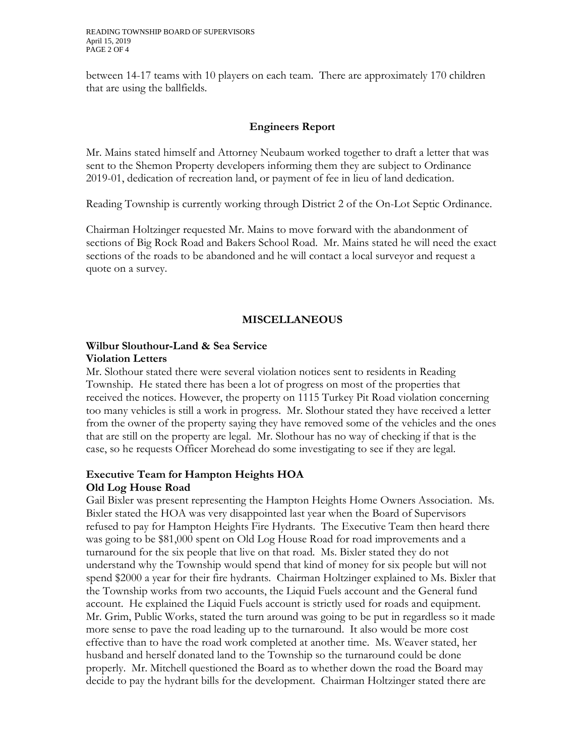between 14-17 teams with 10 players on each team. There are approximately 170 children that are using the ballfields.

## **Engineers Report**

Mr. Mains stated himself and Attorney Neubaum worked together to draft a letter that was sent to the Shemon Property developers informing them they are subject to Ordinance 2019-01, dedication of recreation land, or payment of fee in lieu of land dedication.

Reading Township is currently working through District 2 of the On-Lot Septic Ordinance.

Chairman Holtzinger requested Mr. Mains to move forward with the abandonment of sections of Big Rock Road and Bakers School Road. Mr. Mains stated he will need the exact sections of the roads to be abandoned and he will contact a local surveyor and request a quote on a survey.

# **MISCELLANEOUS**

## **Wilbur Slouthour-Land & Sea Service Violation Letters**

Mr. Slothour stated there were several violation notices sent to residents in Reading Township. He stated there has been a lot of progress on most of the properties that received the notices. However, the property on 1115 Turkey Pit Road violation concerning too many vehicles is still a work in progress. Mr. Slothour stated they have received a letter from the owner of the property saying they have removed some of the vehicles and the ones that are still on the property are legal. Mr. Slothour has no way of checking if that is the case, so he requests Officer Morehead do some investigating to see if they are legal.

# **Executive Team for Hampton Heights HOA Old Log House Road**

Gail Bixler was present representing the Hampton Heights Home Owners Association. Ms. Bixler stated the HOA was very disappointed last year when the Board of Supervisors refused to pay for Hampton Heights Fire Hydrants. The Executive Team then heard there was going to be \$81,000 spent on Old Log House Road for road improvements and a turnaround for the six people that live on that road. Ms. Bixler stated they do not understand why the Township would spend that kind of money for six people but will not spend \$2000 a year for their fire hydrants. Chairman Holtzinger explained to Ms. Bixler that the Township works from two accounts, the Liquid Fuels account and the General fund account. He explained the Liquid Fuels account is strictly used for roads and equipment. Mr. Grim, Public Works, stated the turn around was going to be put in regardless so it made more sense to pave the road leading up to the turnaround. It also would be more cost effective than to have the road work completed at another time. Ms. Weaver stated, her husband and herself donated land to the Township so the turnaround could be done properly. Mr. Mitchell questioned the Board as to whether down the road the Board may decide to pay the hydrant bills for the development. Chairman Holtzinger stated there are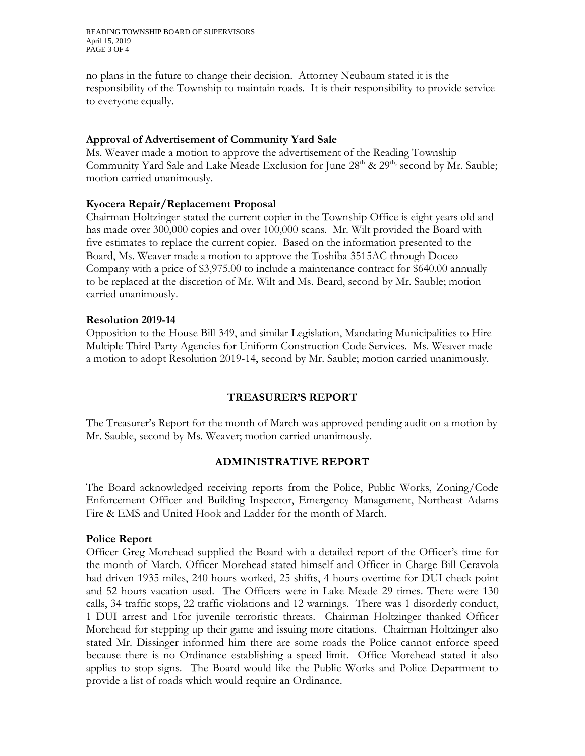READING TOWNSHIP BOARD OF SUPERVISORS April 15, 2019 PAGE 3 OF 4

no plans in the future to change their decision. Attorney Neubaum stated it is the responsibility of the Township to maintain roads. It is their responsibility to provide service to everyone equally.

#### **Approval of Advertisement of Community Yard Sale**

Ms. Weaver made a motion to approve the advertisement of the Reading Township Community Yard Sale and Lake Meade Exclusion for June  $28<sup>th</sup>$  &  $29<sup>th</sup>$ , second by Mr. Sauble; motion carried unanimously.

### **Kyocera Repair/Replacement Proposal**

Chairman Holtzinger stated the current copier in the Township Office is eight years old and has made over 300,000 copies and over 100,000 scans. Mr. Wilt provided the Board with five estimates to replace the current copier. Based on the information presented to the Board, Ms. Weaver made a motion to approve the Toshiba 3515AC through Doceo Company with a price of \$3,975.00 to include a maintenance contract for \$640.00 annually to be replaced at the discretion of Mr. Wilt and Ms. Beard, second by Mr. Sauble; motion carried unanimously.

### **Resolution 2019-14**

Opposition to the House Bill 349, and similar Legislation, Mandating Municipalities to Hire Multiple Third-Party Agencies for Uniform Construction Code Services. Ms. Weaver made a motion to adopt Resolution 2019-14, second by Mr. Sauble; motion carried unanimously.

## **TREASURER'S REPORT**

The Treasurer's Report for the month of March was approved pending audit on a motion by Mr. Sauble, second by Ms. Weaver; motion carried unanimously.

## **ADMINISTRATIVE REPORT**

The Board acknowledged receiving reports from the Police, Public Works, Zoning/Code Enforcement Officer and Building Inspector, Emergency Management, Northeast Adams Fire & EMS and United Hook and Ladder for the month of March.

#### **Police Report**

Officer Greg Morehead supplied the Board with a detailed report of the Officer's time for the month of March. Officer Morehead stated himself and Officer in Charge Bill Ceravola had driven 1935 miles, 240 hours worked, 25 shifts, 4 hours overtime for DUI check point and 52 hours vacation used. The Officers were in Lake Meade 29 times. There were 130 calls, 34 traffic stops, 22 traffic violations and 12 warnings. There was 1 disorderly conduct, 1 DUI arrest and 1for juvenile terroristic threats. Chairman Holtzinger thanked Officer Morehead for stepping up their game and issuing more citations. Chairman Holtzinger also stated Mr. Dissinger informed him there are some roads the Police cannot enforce speed because there is no Ordinance establishing a speed limit. Office Morehead stated it also applies to stop signs. The Board would like the Public Works and Police Department to provide a list of roads which would require an Ordinance.